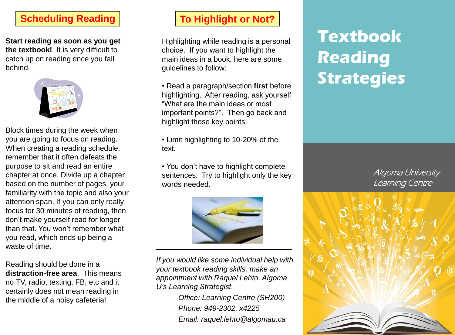## **Scheduling Reading**

**Start reading as soon as you get the textbook!** It is very difficult to catch up on reading once you fall behind.



Block times during the week when you are going to focus on reading. When creating a reading schedule, remember that it often defeats the purpose to sit and read an entire chapter at once. Divide up a chapter based on the number of pages, your familiarity with the topic and also your attention span. If you can only really focus for 30 minutes of reading, then don't make yourself read for longer than that. You won't remember what you read, which ends up being a waste of time.

Reading should be done in a **distraction-free area**. This means no TV, radio, texting, FB, etc and it certainly does not mean reading in the middle of a noisy cafeteria!

## **To Highlight or Not?**

Highlighting while reading is a personal choice. If you want to highlight the main ideas in a book, here are some guidelines to follow:

- Read a paragraph/section **first** before highlighting. After reading, ask yourself "What are the main ideas or most important points?". Then go back and highlight those key points.
- Limit highlighting to 10-20% of the text.

• You don't have to highlight complete sentences. Try to highlight only the key words needed.



*If you would like some individual help with your textbook reading skills, make an appointment with Raquel Lehto, Algoma U's Learning Strategist.*

> *Office: Learning Centre (SH200) Phone: 949-2302, x4225 Email: raquel.lehto@algomau.ca*

## **Textbook Reading Strategies**

Algoma University Learning Centre